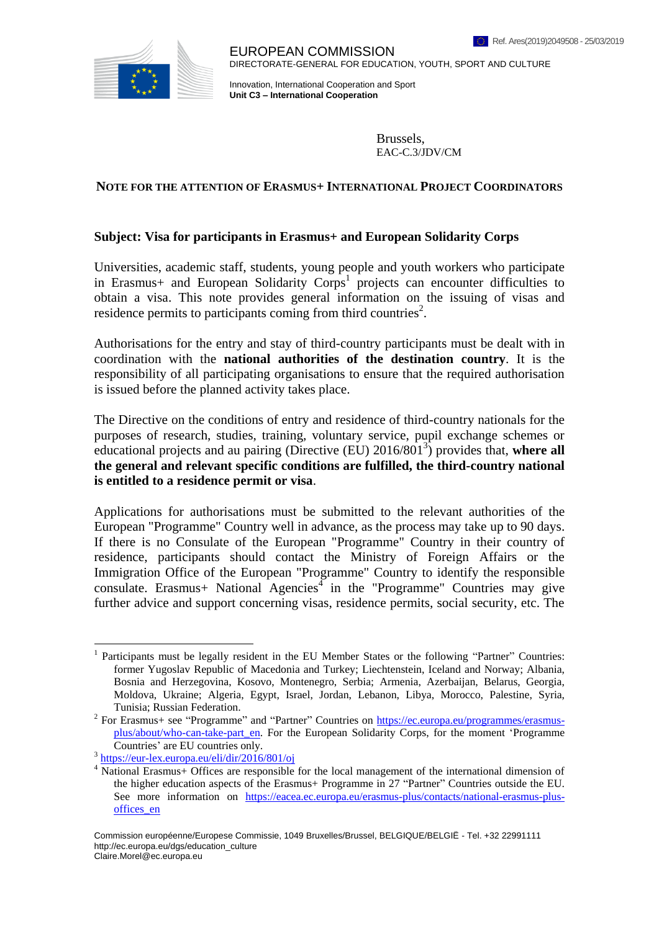

EUROPEAN COMMISSION DIRECTORATE-GENERAL FOR EDUCATION, YOUTH, SPORT AND CULTURE

Innovation, International Cooperation and Sport **Unit C3 – International Cooperation**

> Brussels, EAC-C.3/JDV/CM

## **NOTE FOR THE ATTENTION OF ERASMUS+ INTERNATIONAL PROJECT COORDINATORS**

## **Subject: Visa for participants in Erasmus+ and European Solidarity Corps**

Universities, academic staff, students, young people and youth workers who participate in Erasmus+ and European Solidarity Corps<sup>1</sup> projects can encounter difficulties to obtain a visa. This note provides general information on the issuing of visas and residence permits to participants coming from third countries<sup>2</sup>.

Authorisations for the entry and stay of third-country participants must be dealt with in coordination with the **national authorities of the destination country**. It is the responsibility of all participating organisations to ensure that the required authorisation is issued before the planned activity takes place.

The Directive on the conditions of entry and residence of third-country nationals for the purposes of research, studies, training, voluntary service, pupil exchange schemes or educational projects and au pairing (Directive (EU) 2016/801<sup>3</sup>) provides that, where all **the general and relevant specific conditions are fulfilled, the third-country national is entitled to a residence permit or visa**.

Applications for authorisations must be submitted to the relevant authorities of the European "Programme" Country well in advance, as the process may take up to 90 days. If there is no Consulate of the European "Programme" Country in their country of residence, participants should contact the Ministry of Foreign Affairs or the Immigration Office of the European "Programme" Country to identify the responsible  $\text{const.}$  Erasmus+ National Agencies<sup>4</sup> in the "Programme" Countries may give further advice and support concerning visas, residence permits, social security, etc. The

1

<sup>&</sup>lt;sup>1</sup> Participants must be legally resident in the EU Member States or the following "Partner" Countries: former Yugoslav Republic of Macedonia and Turkey; Liechtenstein, Iceland and Norway; Albania, Bosnia and Herzegovina, Kosovo, Montenegro, Serbia; Armenia, Azerbaijan, Belarus, Georgia, Moldova, Ukraine; Algeria, Egypt, Israel, Jordan, Lebanon, Libya, Morocco, Palestine, Syria, Tunisia; Russian Federation.

<sup>&</sup>lt;sup>2</sup> For Erasmus+ see "Programme" and "Partner" Countries on [https://ec.europa.eu/programmes/erasmus](https://ec.europa.eu/programmes/erasmus-plus/about/who-can-take-part_en)[plus/about/who-can-take-part\\_en.](https://ec.europa.eu/programmes/erasmus-plus/about/who-can-take-part_en) For the European Solidarity Corps, for the moment 'Programme Countries' are EU countries only.

<sup>3</sup> <https://eur-lex.europa.eu/eli/dir/2016/801/oj>

<sup>4</sup> National Erasmus+ Offices are responsible for the local management of the international dimension of the higher education aspects of the Erasmus+ Programme in 27 "Partner" Countries outside the EU. See more information on [https://eacea.ec.europa.eu/erasmus-plus/contacts/national-erasmus-plus](https://eacea.ec.europa.eu/erasmus-plus/contacts/national-erasmus-plus-offices_en)[offices\\_en](https://eacea.ec.europa.eu/erasmus-plus/contacts/national-erasmus-plus-offices_en)

Commission européenne/Europese Commissie, 1049 Bruxelles/Brussel, BELGIQUE/BELGIË - Tel. +32 22991111 http://ec.europa.eu/dgs/education\_culture Claire.Morel@ec.europa.eu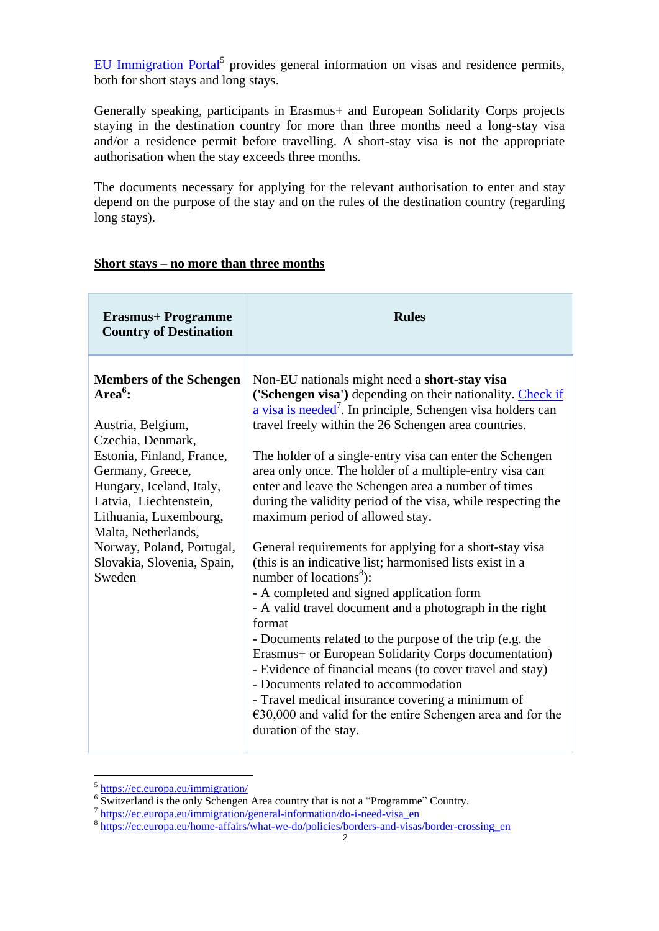[EU Immigration Portal](http://ec.europa.eu/immigration/)<sup>5</sup> provides general information on visas and residence permits, both for short stays and long stays.

Generally speaking, participants in Erasmus+ and European Solidarity Corps projects staying in the destination country for more than three months need a long-stay visa and/or a residence permit before travelling. A short-stay visa is not the appropriate authorisation when the stay exceeds three months.

The documents necessary for applying for the relevant authorisation to enter and stay depend on the purpose of the stay and on the rules of the destination country (regarding long stays).

## **Short stays – no more than three months**

| <b>Erasmus+ Programme</b><br><b>Country of Destination</b>                                                                                                                                                                                                                                                           | <b>Rules</b>                                                                                                                                                                                                                                                                                                                                                                                                                                                                                                                                                                                                             |
|----------------------------------------------------------------------------------------------------------------------------------------------------------------------------------------------------------------------------------------------------------------------------------------------------------------------|--------------------------------------------------------------------------------------------------------------------------------------------------------------------------------------------------------------------------------------------------------------------------------------------------------------------------------------------------------------------------------------------------------------------------------------------------------------------------------------------------------------------------------------------------------------------------------------------------------------------------|
| <b>Members of the Schengen</b><br>Area $^6$ :<br>Austria, Belgium,<br>Czechia, Denmark,<br>Estonia, Finland, France,<br>Germany, Greece,<br>Hungary, Iceland, Italy,<br>Latvia, Liechtenstein,<br>Lithuania, Luxembourg,<br>Malta, Netherlands,<br>Norway, Poland, Portugal,<br>Slovakia, Slovenia, Spain,<br>Sweden | Non-EU nationals might need a short-stay visa<br>('Schengen visa') depending on their nationality. Check if<br>a visa is needed <sup>7</sup> . In principle, Schengen visa holders can<br>travel freely within the 26 Schengen area countries.<br>The holder of a single-entry visa can enter the Schengen                                                                                                                                                                                                                                                                                                               |
|                                                                                                                                                                                                                                                                                                                      | area only once. The holder of a multiple-entry visa can<br>enter and leave the Schengen area a number of times<br>during the validity period of the visa, while respecting the<br>maximum period of allowed stay.                                                                                                                                                                                                                                                                                                                                                                                                        |
|                                                                                                                                                                                                                                                                                                                      | General requirements for applying for a short-stay visa<br>(this is an indicative list; harmonised lists exist in a<br>number of locations <sup>8</sup> ):<br>- A completed and signed application form<br>- A valid travel document and a photograph in the right<br>format<br>- Documents related to the purpose of the trip (e.g. the<br>Erasmus+ or European Solidarity Corps documentation)<br>- Evidence of financial means (to cover travel and stay)<br>- Documents related to accommodation<br>- Travel medical insurance covering a minimum of<br>$€30,000$ and valid for the entire Schengen area and for the |
|                                                                                                                                                                                                                                                                                                                      | duration of the stay.                                                                                                                                                                                                                                                                                                                                                                                                                                                                                                                                                                                                    |

<sup>-&</sup>lt;br><sup>5</sup> <https://ec.europa.eu/immigration/>

<sup>&</sup>lt;sup>6</sup> Switzerland is the only Schengen Area country that is not a "Programme" Country.

<sup>&</sup>lt;sup>7</sup> [https://ec.europa.eu/immigration/general-information/do-i-need-visa\\_en](https://ec.europa.eu/immigration/general-information/do-i-need-visa_en)<br><sup>8</sup> [https://ec.europa.eu/home-affairs/what-we-do/policies/borders-and-visas/border-crossing\\_en](https://ec.europa.eu/home-affairs/what-we-do/policies/borders-and-visas/border-crossing_en)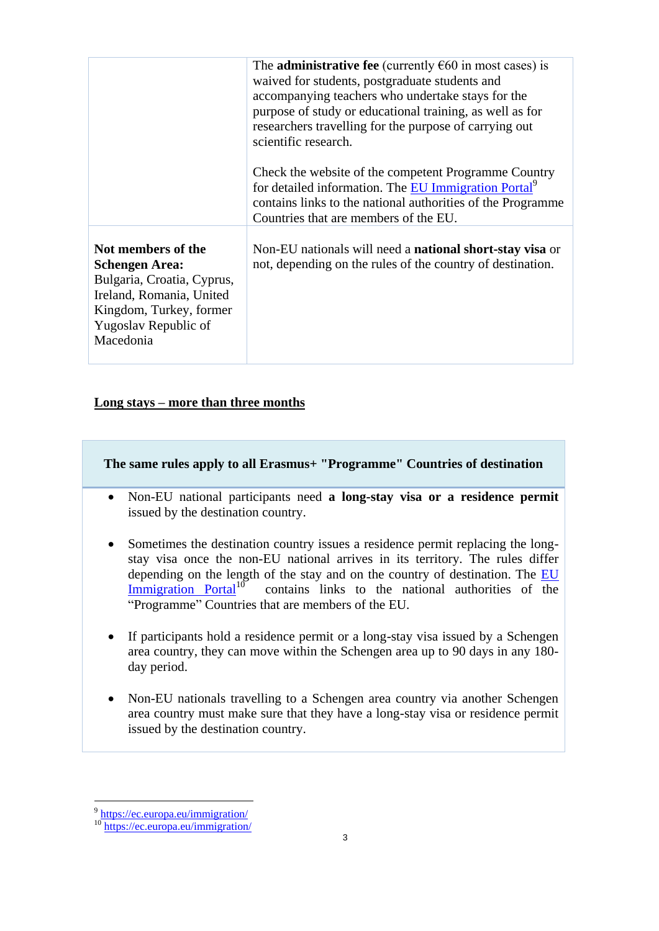|                                                                                                                                                                       | The <b>administrative fee</b> (currently $\epsilon$ 60 in most cases) is<br>waived for students, postgraduate students and<br>accompanying teachers who undertake stays for the<br>purpose of study or educational training, as well as for<br>researchers travelling for the purpose of carrying out<br>scientific research. |
|-----------------------------------------------------------------------------------------------------------------------------------------------------------------------|-------------------------------------------------------------------------------------------------------------------------------------------------------------------------------------------------------------------------------------------------------------------------------------------------------------------------------|
|                                                                                                                                                                       | Check the website of the competent Programme Country<br>for detailed information. The EU Immigration Portal <sup>9</sup><br>contains links to the national authorities of the Programme<br>Countries that are members of the EU.                                                                                              |
| Not members of the<br><b>Schengen Area:</b><br>Bulgaria, Croatia, Cyprus,<br>Ireland, Romania, United<br>Kingdom, Turkey, former<br>Yugoslav Republic of<br>Macedonia | Non-EU nationals will need a <b>national short-stay visa</b> or<br>not, depending on the rules of the country of destination.                                                                                                                                                                                                 |

## **Long stays – more than three months**

**The same rules apply to all Erasmus+ "Programme" Countries of destination**

- Non-EU national participants need **a long-stay visa or a residence permit** issued by the destination country.
- Sometimes the destination country issues a residence permit replacing the longstay visa once the non-EU national arrives in its territory. The rules differ depending on the length of the stay and on the country of destination. The [EU](https://ec.europa.eu/immigration/)  [Immigration Portal](https://ec.europa.eu/immigration/)<sup>10</sup> contains links to the national authorities of the "Programme" Countries that are members of the EU.
- If participants hold a residence permit or a long-stay visa issued by a Schengen area country, they can move within the Schengen area up to 90 days in any 180 day period.
- Non-EU nationals travelling to a Schengen area country via another Schengen area country must make sure that they have a long-stay visa or residence permit issued by the destination country.

<sup>9&</sup>lt;br><sup>9</sup> <https://ec.europa.eu/immigration/>

<sup>&</sup>lt;sup>10</sup> <https://ec.europa.eu/immigration/>